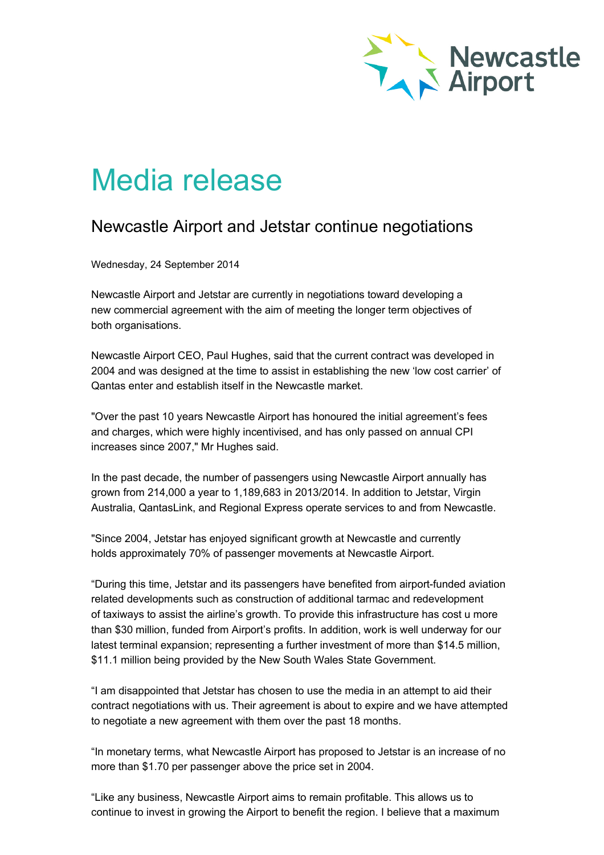

## Media release

## Newcastle Airport and Jetstar continue negotiations

Wednesday, 24 September 2014

Newcastle Airport and Jetstar are currently in negotiations toward developing a new commercial agreement with the aim of meeting the longer term objectives of both organisations.

Newcastle Airport CEO, Paul Hughes, said that the current contract was developed in 2004 and was designed at the time to assist in establishing the new 'low cost carrier' of Qantas enter and establish itself in the Newcastle market.

"Over the past 10 years Newcastle Airport has honoured the initial agreement's fees and charges, which were highly incentivised, and has only passed on annual CPI increases since 2007," Mr Hughes said.

In the past decade, the number of passengers using Newcastle Airport annually has grown from 214,000 a year to 1,189,683 in 2013/2014. In addition to Jetstar, Virgin Australia, QantasLink, and Regional Express operate services to and from Newcastle.

"Since 2004, Jetstar has enjoyed significant growth at Newcastle and currently holds approximately 70% of passenger movements at Newcastle Airport.

"During this time, Jetstar and its passengers have benefited from airport-funded aviation related developments such as construction of additional tarmac and redevelopment of taxiways to assist the airline's growth. To provide this infrastructure has cost u more than \$30 million, funded from Airport's profits. In addition, work is well underway for our latest terminal expansion; representing a further investment of more than \$14.5 million, \$11.1 million being provided by the New South Wales State Government.

"I am disappointed that Jetstar has chosen to use the media in an attempt to aid their contract negotiations with us. Their agreement is about to expire and we have attempted to negotiate a new agreement with them over the past 18 months.

"In monetary terms, what Newcastle Airport has proposed to Jetstar is an increase of no more than \$1.70 per passenger above the price set in 2004.

"Like any business, Newcastle Airport aims to remain profitable. This allows us to continue to invest in growing the Airport to benefit the region. I believe that a maximum